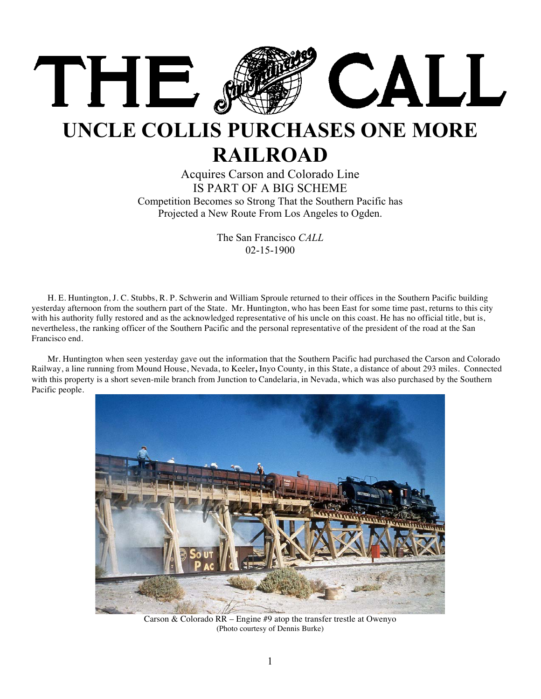

## **UNCLE COLLIS PURCHASES ONE MORE RAILROAD**

## Acquires Carson and Colorado Line IS PART OF A BIG SCHEME Competition Becomes so Strong That the Southern Pacific has Projected a New Route From Los Angeles to Ogden.

The San Francisco *CALL* 02-15-1900

H. E. Huntington, J. C. Stubbs, R. P. Schwerin and William Sproule returned to their offices in the Southern Pacific building yesterday afternoon from the southern part of the State. Mr. Huntington, who has been East for some time past, returns to this city with his authority fully restored and as the acknowledged representative of his uncle on this coast. He has no official title, but is, nevertheless, the ranking officer of the Southern Pacific and the personal representative of the president of the road at the San Francisco end.

Mr. Huntington when seen yesterday gave out the information that the Southern Pacific had purchased the Carson and Colorado Railway, a line running from Mound House, Nevada, to Keeler**,** Inyo County, in this State, a distance of about 293 miles. Connected with this property is a short seven-mile branch from Junction to Candelaria, in Nevada, which was also purchased by the Southern Pacific people.



Carson & Colorado RR – Engine #9 atop the transfer trestle at Owenyo (Photo courtesy of Dennis Burke)